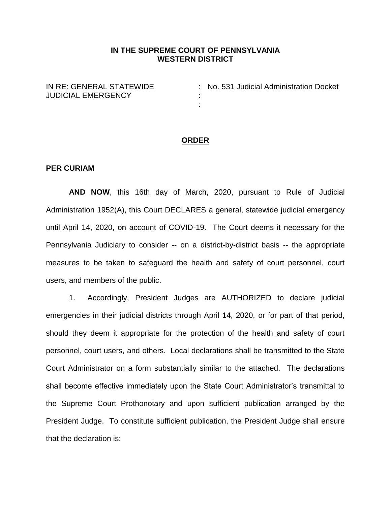## **IN THE SUPREME COURT OF PENNSYLVANIA WESTERN DISTRICT**

: :

IN RE: GENERAL STATEWIDE JUDICIAL EMERGENCY

: No. 531 Judicial Administration Docket

#### **ORDER**

### **PER CURIAM**

**AND NOW**, this 16th day of March, 2020, pursuant to Rule of Judicial Administration 1952(A), this Court DECLARES a general, statewide judicial emergency until April 14, 2020, on account of COVID-19. The Court deems it necessary for the Pennsylvania Judiciary to consider -- on a district-by-district basis -- the appropriate measures to be taken to safeguard the health and safety of court personnel, court users, and members of the public.

1. Accordingly, President Judges are AUTHORIZED to declare judicial emergencies in their judicial districts through April 14, 2020, or for part of that period, should they deem it appropriate for the protection of the health and safety of court personnel, court users, and others. Local declarations shall be transmitted to the State Court Administrator on a form substantially similar to the attached. The declarations shall become effective immediately upon the State Court Administrator's transmittal to the Supreme Court Prothonotary and upon sufficient publication arranged by the President Judge. To constitute sufficient publication, the President Judge shall ensure that the declaration is: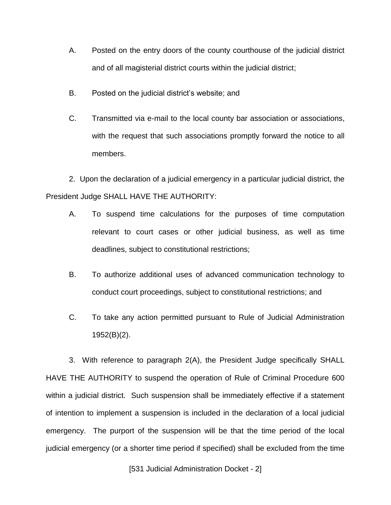- A. Posted on the entry doors of the county courthouse of the judicial district and of all magisterial district courts within the judicial district;
- B. Posted on the judicial district's website; and
- C. Transmitted via e-mail to the local county bar association or associations, with the request that such associations promptly forward the notice to all members.

2. Upon the declaration of a judicial emergency in a particular judicial district, the President Judge SHALL HAVE THE AUTHORITY:

- A. To suspend time calculations for the purposes of time computation relevant to court cases or other judicial business, as well as time deadlines, subject to constitutional restrictions;
- B. To authorize additional uses of advanced communication technology to conduct court proceedings, subject to constitutional restrictions; and
- C. To take any action permitted pursuant to Rule of Judicial Administration 1952(B)(2).

3. With reference to paragraph 2(A), the President Judge specifically SHALL HAVE THE AUTHORITY to suspend the operation of Rule of Criminal Procedure 600 within a judicial district. Such suspension shall be immediately effective if a statement of intention to implement a suspension is included in the declaration of a local judicial emergency. The purport of the suspension will be that the time period of the local judicial emergency (or a shorter time period if specified) shall be excluded from the time

[531 Judicial Administration Docket - 2]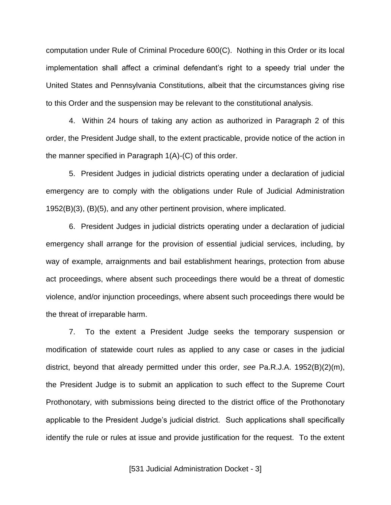computation under Rule of Criminal Procedure 600(C). Nothing in this Order or its local implementation shall affect a criminal defendant's right to a speedy trial under the United States and Pennsylvania Constitutions, albeit that the circumstances giving rise to this Order and the suspension may be relevant to the constitutional analysis.

4. Within 24 hours of taking any action as authorized in Paragraph 2 of this order, the President Judge shall, to the extent practicable, provide notice of the action in the manner specified in Paragraph 1(A)-(C) of this order.

5. President Judges in judicial districts operating under a declaration of judicial emergency are to comply with the obligations under Rule of Judicial Administration 1952(B)(3), (B)(5), and any other pertinent provision, where implicated.

6. President Judges in judicial districts operating under a declaration of judicial emergency shall arrange for the provision of essential judicial services, including, by way of example, arraignments and bail establishment hearings, protection from abuse act proceedings, where absent such proceedings there would be a threat of domestic violence, and/or injunction proceedings, where absent such proceedings there would be the threat of irreparable harm.

7. To the extent a President Judge seeks the temporary suspension or modification of statewide court rules as applied to any case or cases in the judicial district, beyond that already permitted under this order, *see* Pa.R.J.A. 1952(B)(2)(m), the President Judge is to submit an application to such effect to the Supreme Court Prothonotary, with submissions being directed to the district office of the Prothonotary applicable to the President Judge's judicial district. Such applications shall specifically identify the rule or rules at issue and provide justification for the request. To the extent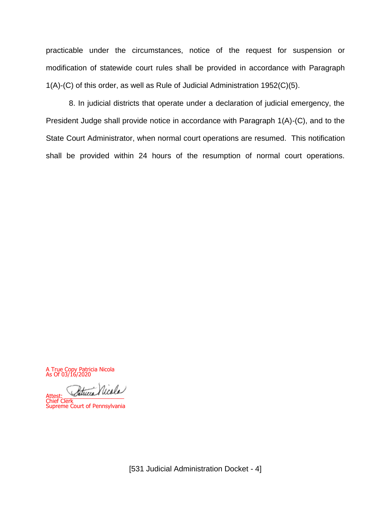practicable under the circumstances, notice of the request for suspension or modification of statewide court rules shall be provided in accordance with Paragraph 1(A)-(C) of this order, as well as Rule of Judicial Administration 1952(C)(5).

8. In judicial districts that operate under a declaration of judicial emergency, the President Judge shall provide notice in accordance with Paragraph 1(A)-(C), and to the State Court Administrator, when normal court operations are resumed. This notification shall be provided within 24 hours of the resumption of normal court operations.

A True Copy Patricia Nicola As Of 03/16/2020

l, theca Nicola

Chief Clerk Supreme Court of Pennsylvania

[531 Judicial Administration Docket - 4]